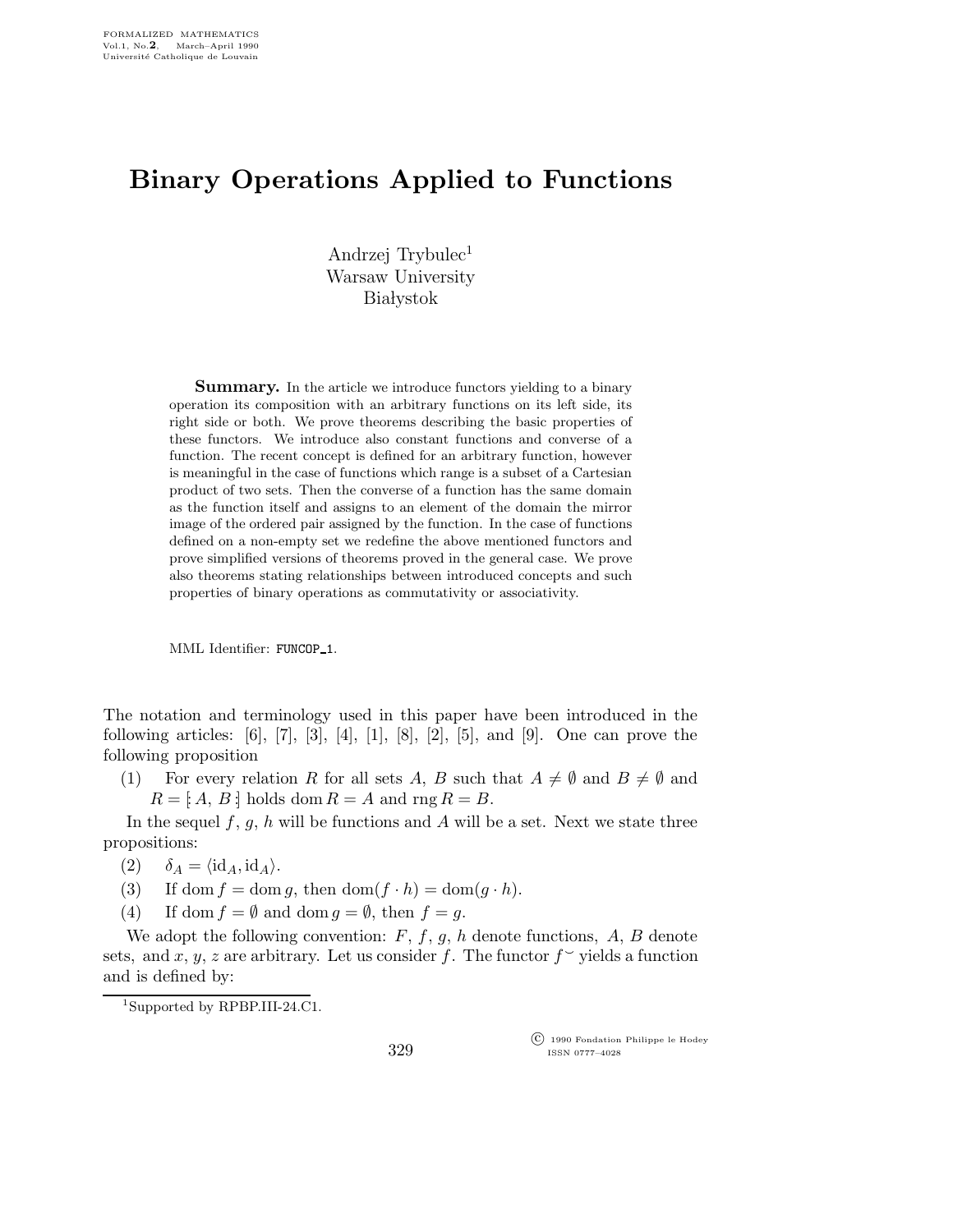## Binary Operations Applied to Functions

Andrzej Trybulec<sup>1</sup> Warsaw University **Białystok** 

**Summary.** In the article we introduce functors yielding to a binary operation its composition with an arbitrary functions on its left side, its right side or both. We prove theorems describing the basic properties of these functors. We introduce also constant functions and converse of a function. The recent concept is defined for an arbitrary function, however is meaningful in the case of functions which range is a subset of a Cartesian product of two sets. Then the converse of a function has the same domain as the function itself and assigns to an element of the domain the mirror image of the ordered pair assigned by the function. In the case of functions defined on a non-empty set we redefine the above mentioned functors and prove simplified versions of theorems proved in the general case. We prove also theorems stating relationships between introduced concepts and such properties of binary operations as commutativity or associativity.

MML Identifier: FUNCOP 1.

The notation and terminology used in this paper have been introduced in the following articles:  $[6]$ ,  $[7]$ ,  $[3]$ ,  $[4]$ ,  $[1]$ ,  $[8]$ ,  $[2]$ ,  $[5]$ , and  $[9]$ . One can prove the following proposition

(1) For every relation R for all sets A, B such that  $A \neq \emptyset$  and  $B \neq \emptyset$  and  $R = [A, B]$  holds dom  $R = A$  and rng  $R = B$ .

In the sequel  $f, g, h$  will be functions and A will be a set. Next we state three propositions:

- (2)  $\delta_A = \langle id_A, id_A \rangle$ .
- (3) If dom  $f = \text{dom } g$ , then  $\text{dom}(f \cdot h) = \text{dom}(g \cdot h)$ .
- (4) If dom  $f = \emptyset$  and dom  $g = \emptyset$ , then  $f = g$ .

We adopt the following convention:  $F, f, g, h$  denote functions,  $A, B$  denote sets, and x, y, z are arbitrary. Let us consider f. The functor  $f^{\sim}$  yields a function and is defined by:

 $\overline{C}$  1990 Fondation Philippe le Hodey ISSN 0777–4028

<sup>1</sup>Supported by RPBP.III-24.C1.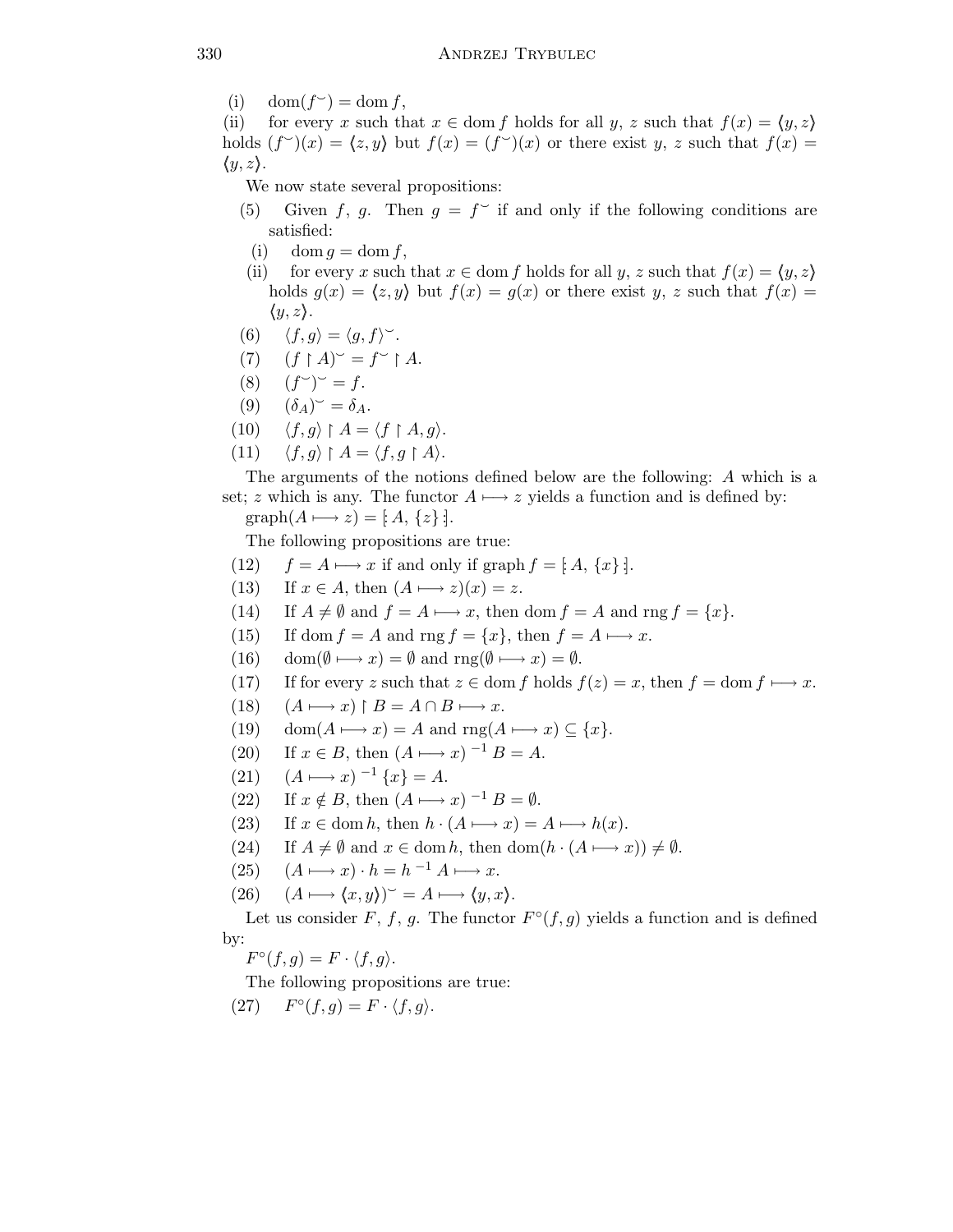(i)  $\text{dom}(f^{\sim}) = \text{dom } f,$ 

(ii) for every x such that  $x \in \text{dom } f$  holds for all y, z such that  $f(x) = \langle y, z \rangle$ holds  $(f^{\sim})(x) = \langle z, y \rangle$  but  $f(x) = (f^{\sim})(x)$  or there exist y, z such that  $f(x) =$  $\langle y, z \rangle$ .

We now state several propositions:

- (5) Given f, g. Then  $g = f^{\sim}$  if and only if the following conditions are satisfied:
	- (i) dom  $g = \text{dom } f$ ,
- (ii) for every x such that  $x \in$  dom f holds for all y, z such that  $f(x) = \langle y, z \rangle$ holds  $g(x) = \langle z, y \rangle$  but  $f(x) = g(x)$  or there exist y, z such that  $f(x) =$  $\langle y, z \rangle$ .
- (6)  $\langle f, g \rangle = \langle g, f \rangle^{\sim}$ .
- $(f \restriction A)^\sim = f^\sim \restriction A.$
- $(8)$  $\check{\ }$   $\check{\ }$  = f.
- $(9) \quad (\delta_A)^{\sim} = \delta_A.$
- $(10) \quad \langle f, g \rangle \upharpoonright A = \langle f \upharpoonright A, g \rangle.$
- (11)  $\langle f, g \rangle \upharpoonright A = \langle f, g \upharpoonright A \rangle.$

The arguments of the notions defined below are the following: A which is a set; z which is any. The functor  $A \mapsto z$  yields a function and is defined by:  $graph(A \rightarrow z) = [A, \{z\}].$ 

The following propositions are true:

- (12)  $f = A \rightarrow x$  if and only if graph  $f = [A, \{x\}].$
- (13) If  $x \in A$ , then  $(A \rightarrow z)(x) = z$ .
- (14) If  $A \neq \emptyset$  and  $f = A \longmapsto x$ , then dom  $f = A$  and rng  $f = \{x\}.$
- (15) If dom  $f = A$  and rng  $f = \{x\}$ , then  $f = A \rightarrow x$ .
- (16) dom( $\emptyset \mapsto x$ ) =  $\emptyset$  and rng( $\emptyset \mapsto x$ ) =  $\emptyset$ .
- (17) If for every z such that  $z \in \text{dom } f$  holds  $f(z) = x$ , then  $f = \text{dom } f \longmapsto x$ .
- $(18)$   $(A \rightarrow x) \upharpoonright B = A \cap B \rightarrow x.$
- (19) dom $(A \rightarrow x) = A$  and rng $(A \rightarrow x) \subseteq \{x\}.$
- (20) If  $x \in B$ , then  $(A \rightarrow x)^{-1} B = A$ .
- (21)  $(A \rightarrow x)^{-1} \{x\} = A.$
- (22) If  $x \notin B$ , then  $(A \rightarrow x)^{-1} B = \emptyset$ .
- (23) If  $x \in \text{dom } h$ , then  $h \cdot (A \mapsto x) = A \mapsto h(x)$ .
- (24) If  $A \neq \emptyset$  and  $x \in \text{dom } h$ , then  $\text{dom}(h \cdot (A \mapsto x)) \neq \emptyset$ .
- (25)  $(A \rightarrow x) \cdot h = h^{-1} A \rightarrow x.$
- $(26)$   $(A \rightarrow \langle x, y \rangle)^{\sim} = A \rightarrow \langle y, x \rangle.$

Let us consider F, f, g. The functor  $F^{\circ}(f,g)$  yields a function and is defined by:

 $F^{\circ}(f,g) = F \cdot \langle f,g \rangle.$ 

The following propositions are true:

(27)  $F^{\circ}(f,g) = F \cdot \langle f,g \rangle.$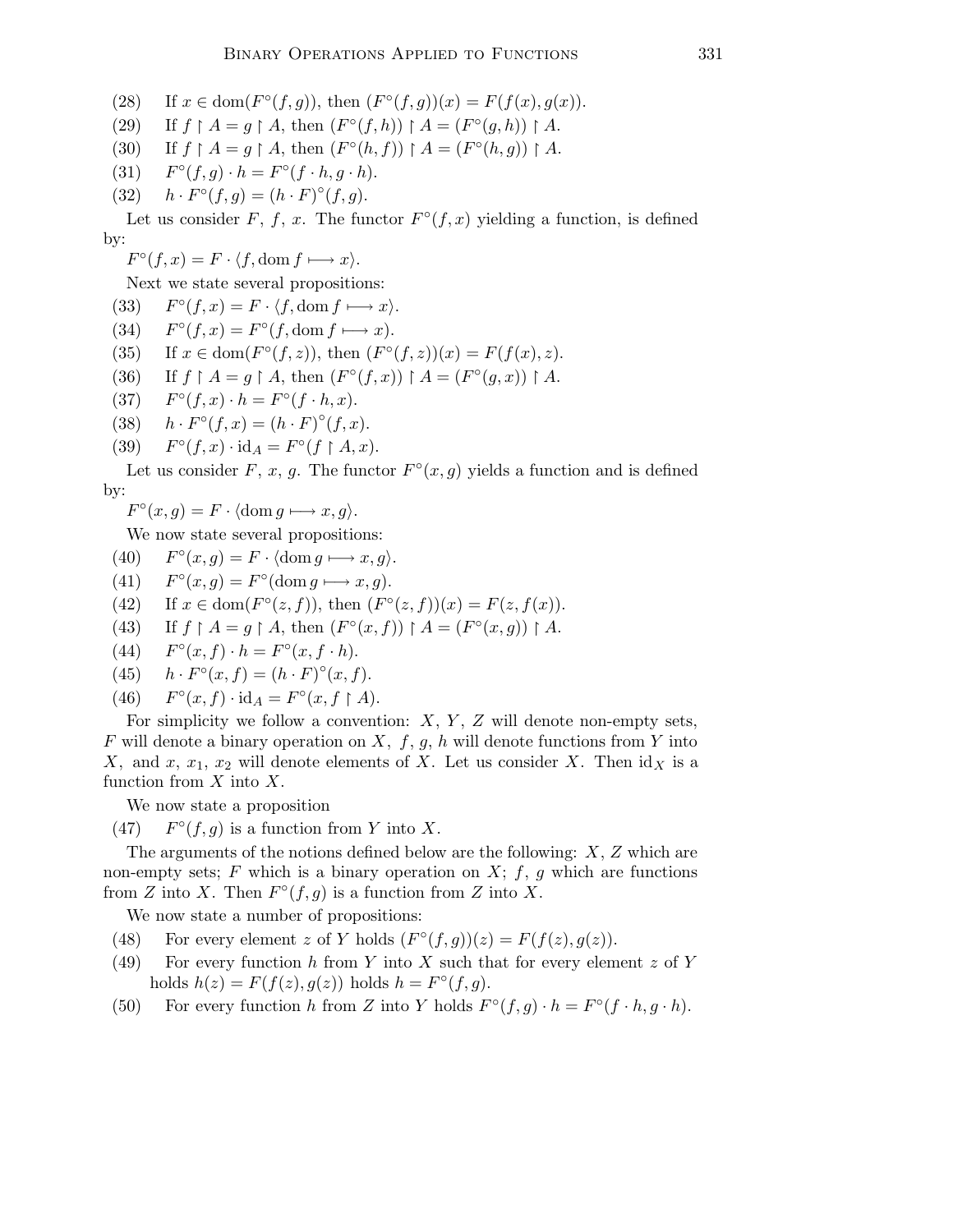(28) If  $x \in \text{dom}(F^{\circ}(f,g))$ , then  $(F^{\circ}(f,g))(x) = F(f(x), g(x))$ .

- (29) If  $f \upharpoonright A = g \upharpoonright A$ , then  $(F^{\circ}(f, h)) \upharpoonright A = (F^{\circ}(g, h)) \upharpoonright A$ .
- (30) If  $f \upharpoonright A = g \upharpoonright A$ , then  $(F^{\circ}(h, f)) \upharpoonright A = (F^{\circ}(h, g)) \upharpoonright A$ .
- $(31)$  $\circ(f,g) \cdot h = F^{\circ}(f \cdot h, g \cdot h).$
- (32)  $h \cdot F^{\circ}(f,g) = (h \cdot F)^{\circ}(f,g).$

Let us consider F, f, x. The functor  $F^{\circ}(f,x)$  yielding a function, is defined by:

 $F^{\circ}(f, x) = F \cdot \langle f, \text{dom } f \longmapsto x \rangle.$ 

Next we state several propositions:

- $(33)$  $\degree(f, x) = F \cdot \langle f, \text{dom } f \longmapsto x \rangle.$
- $(34)$  $\mathcal{O}(f, x) = F^{\circ}(f, \text{dom } f \longmapsto x).$
- (35) If  $x \in \text{dom}(F^{\circ}(f,z))$ , then  $(F^{\circ}(f,z))(x) = F(f(x), z)$ .
- $(36)$  $A = g \upharpoonright A$ , then  $(F^{\circ}(f, x)) \upharpoonright A = (F^{\circ}(g, x)) \upharpoonright A$ .
- $(37)$  $\circ(f, x) \cdot h = F^{\circ}(f \cdot h, x).$
- (38)  $h \cdot F^{\circ}(f, x) = (h \cdot F)^{\circ}(f, x).$
- $(39)$  $\circ(f, x) \cdot id_A = F^{\circ}(f \upharpoonright A, x).$

Let us consider F, x, g. The functor  $F^{\circ}(x, g)$  yields a function and is defined by:

$$
F^{\circ}(x,g) = F \cdot \langle \text{dom } g \longmapsto x, g \rangle.
$$

We now state several propositions:

- $(40)$  $\circ(x,g) = F \cdot \langle \text{dom } g \longmapsto x, g \rangle.$
- $(41)$  $\circ(x,g) = F^{\circ}(\text{dom } g \longmapsto x, g).$
- (42) If  $x \in \text{dom}(F^{\circ}(z, f))$ , then  $(F^{\circ}(z, f))(x) = F(z, f(x))$ .
- $(43)$  $A = g \upharpoonright A$ , then  $(F^{\circ}(x, f)) \upharpoonright A = (F^{\circ}(x, g)) \upharpoonright A$ .
- $(44)$  $\circ (x, f) \cdot h = F^{\circ}(x, f \cdot h).$
- (45)  $h \cdot F^{\circ}(x, f) = (h \cdot F)^{\circ}(x, f).$
- $(46)$  $\circ(x, f) \cdot id_A = F^{\circ}(x, f \upharpoonright A).$

For simplicity we follow a convention:  $X, Y, Z$  will denote non-empty sets, F will denote a binary operation on X,  $f, g, h$  will denote functions from Y into X, and x,  $x_1, x_2$  will denote elements of X. Let us consider X. Then  $\mathrm{id}_X$  is a function from  $X$  into  $X$ .

We now state a proposition

 $(47)$  $\circ$  (f, g) is a function from Y into X.

The arguments of the notions defined below are the following:  $X, Z$  which are non-empty sets;  $F$  which is a binary operation on  $X$ ;  $f$ ,  $g$  which are functions from Z into X. Then  $F^{\circ}(f,g)$  is a function from Z into X.

We now state a number of propositions:

- (48) For every element z of Y holds  $(F^{\circ}(f,g))(z) = F(f(z), g(z)).$
- (49) For every function h from Y into X such that for every element z of Y holds  $h(z) = F(f(z), g(z))$  holds  $h = F^{\circ}(f, g)$ .
- (50) For every function h from Z into Y holds  $F^{\circ}(f,g) \cdot h = F^{\circ}(f \cdot h, g \cdot h)$ .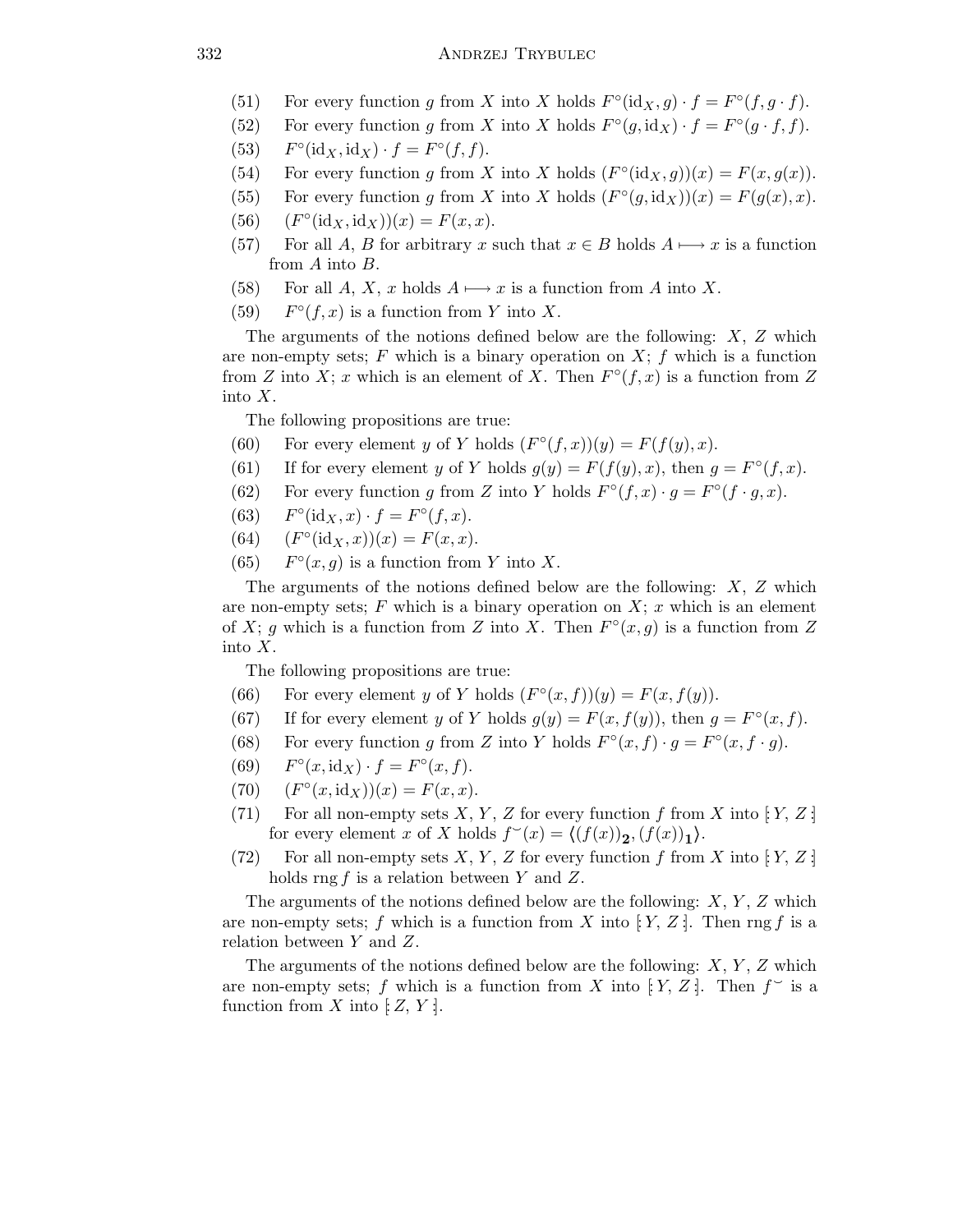## 332 ANDRZEJ TRYBULEC

- (51) For every function g from X into X holds  $F^{\circ}(\text{id}_X, g) \cdot f = F^{\circ}(f, g \cdot f)$ .
- (52) For every function g from X into X holds  $F^{\circ}(g, id_X) \cdot f = F^{\circ}(g \cdot f, f)$ .
- $(53)$  $\circ$ (id<sub>X</sub>, id<sub>X</sub>) ·  $f = F^{\circ}(f, f)$ .
- (54) For every function g from X into X holds  $(F^{\circ}(\text{id}_X, g))(x) = F(x, g(x)).$
- (55) For every function g from X into X holds  $(F^{\circ}(g, id_X))(x) = F(g(x), x)$ .
- $(56)$  $\circ$ (id<sub>X</sub>, id<sub>X</sub>))(x) = F(x, x).
- (57) For all A, B for arbitrary x such that  $x \in B$  holds  $A \longmapsto x$  is a function from A into B.
- (58) For all A, X, x holds  $A \mapsto x$  is a function from A into X.
- $(59)$  $\circ$  (f, x) is a function from Y into X.

The arguments of the notions defined below are the following:  $X$ ,  $Z$  which are non-empty sets;  $F$  which is a binary operation on  $X$ ;  $f$  which is a function from Z into X; x which is an element of X. Then  $F^{\circ}(f,x)$  is a function from Z into X.

The following propositions are true:

- (60) For every element y of Y holds  $(F^{\circ}(f,x))(y) = F(f(y),x)$ .
- (61) If for every element y of Y holds  $g(y) = F(f(y), x)$ , then  $g = F^{\circ}(f, x)$ .
- (62) For every function g from Z into Y holds  $F^{\circ}(f,x) \cdot g = F^{\circ}(f \cdot g,x)$ .
- $(63)$  $\circ$ (id<sub>X</sub>, x) ·  $f = F^{\circ}(f, x)$ .
- $(64)$  $\circ$ (id<sub>X</sub>, x))(x) = F(x, x).
- $(65)$  $\circ$ (*x*, *g*) is a function from *Y* into *X*.

The arguments of the notions defined below are the following:  $X$ ,  $Z$  which are non-empty sets;  $F$  which is a binary operation on  $X$ ; x which is an element of X; g which is a function from Z into X. Then  $F^{\circ}(x,g)$  is a function from Z into X.

The following propositions are true:

- (66) For every element y of Y holds  $(F^{\circ}(x, f))(y) = F(x, f(y)).$
- (67) If for every element y of Y holds  $g(y) = F(x, f(y))$ , then  $g = F^{\circ}(x, f)$ .
- (68) For every function g from Z into Y holds  $F^{\circ}(x, f) \cdot g = F^{\circ}(x, f \cdot g)$ .
- $(69)$  $\circ$   $(x, \text{id}_X) \cdot f = F^\circ(x, f).$
- $(70)$  $\circ (x, \text{id}_X))(x) = F(x, x).$
- (71) For all non-empty sets X, Y, Z for every function f from X into  $|Y, Z|$ for every element x of X holds  $f^{\sim}(x) = \langle (f(x))_2, (f(x))_1 \rangle$ .
- (72) For all non-empty sets  $X, Y, Z$  for every function f from X into [: Y, Z :] holds rng f is a relation between Y and Z.

The arguments of the notions defined below are the following:  $X, Y, Z$  which are non-empty sets; f which is a function from X into  $\{Y, Z\}$ . Then rng f is a relation between Y and Z.

The arguments of the notions defined below are the following:  $X, Y, Z$  which are non-empty sets; f which is a function from X into  $\{Y, Z\}$ . Then  $f \circ$  is a function from X into  $\mathbb{E}[Z, Y]$ .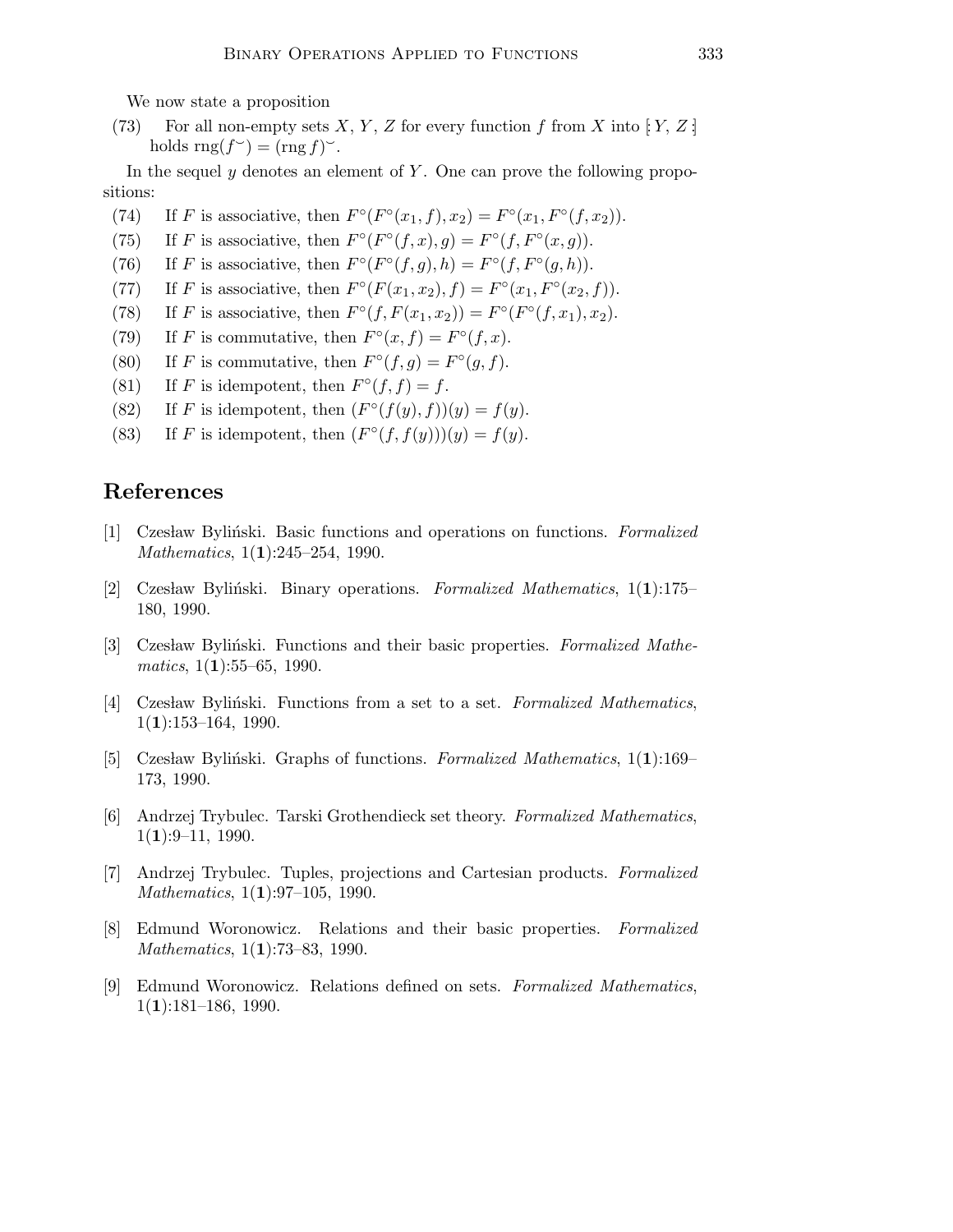We now state a proposition

(73) For all non-empty sets X, Y, Z for every function f from X into [Y, Z]. holds  $\text{rng}(f^{\sim}) = (\text{rng } f)^{\sim}$ .

In the sequel  $y$  denotes an element of  $Y$ . One can prove the following propositions:

- (74) If F is associative, then  $F^{\circ}(F^{\circ}(x_1, f), x_2) = F^{\circ}(x_1, F^{\circ}(f, x_2)).$
- (75) If F is associative, then  $F^{\circ}(F^{\circ}(f,x),g) = F^{\circ}(f,F^{\circ}(x,g))$ .
- (76) If F is associative, then  $F^{\circ}(F^{\circ}(f,g),h) = F^{\circ}(f,F^{\circ}(g,h)).$
- (77) If F is associative, then  $F^{\circ}(F(x_1, x_2), f) = F^{\circ}(x_1, F^{\circ}(x_2, f)).$
- (78) If F is associative, then  $F^{\circ}(f, F(x_1, x_2)) = F^{\circ}(F^{\circ}(f, x_1), x_2)$ .
- (79) If F is commutative, then  $F^{\circ}(x, f) = F^{\circ}(f, x)$ .
- (80) If F is commutative, then  $F^{\circ}(f,g) = F^{\circ}(g, f)$ .
- (81) If F is idempotent, then  $F^{\circ}(f, f) = f$ .
- (82) If F is idempotent, then  $(F^{\circ}(f(y), f))(y) = f(y)$ .
- (83) If F is idempotent, then  $(F^{\circ}(f, f(y)))(y) = f(y)$ .

## References

- [1] Czesław Byliński. Basic functions and operations on functions. Formalized Mathematics, 1(1):245–254, 1990.
- [2] Czesław Byliński. Binary operations. Formalized Mathematics,  $1(1):175-$ 180, 1990.
- [3] Czesław Byliński. Functions and their basic properties. Formalized Mathe $matics, 1(1):55–65, 1990.$
- [4] Czesław Byliński. Functions from a set to a set. Formalized Mathematics,  $1(1):153-164, 1990.$
- [5] Czesław Byliński. Graphs of functions. Formalized Mathematics,  $1(1):169-$ 173, 1990.
- [6] Andrzej Trybulec. Tarski Grothendieck set theory. Formalized Mathematics,  $1(1):9-11, 1990.$
- [7] Andrzej Trybulec. Tuples, projections and Cartesian products. Formalized Mathematics, 1(1):97–105, 1990.
- [8] Edmund Woronowicz. Relations and their basic properties. Formalized Mathematics, 1(1):73–83, 1990.
- [9] Edmund Woronowicz. Relations defined on sets. Formalized Mathematics,  $1(1):181-186, 1990.$